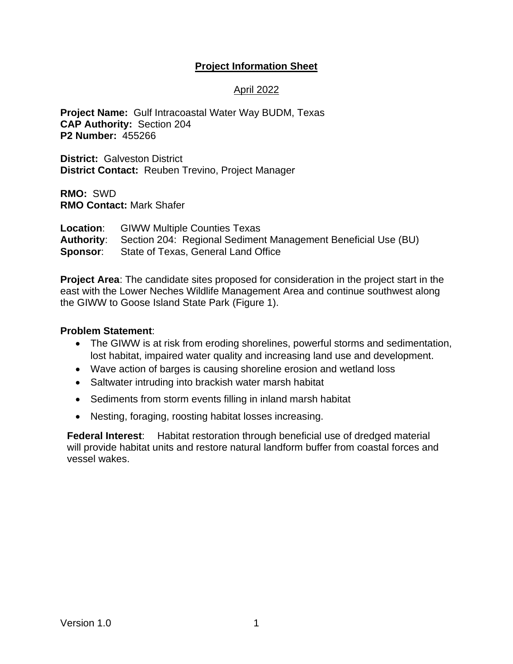## **Project Information Sheet**

## April 2022

**Project Name:** Gulf Intracoastal Water Way BUDM, Texas **CAP Authority:** Section 204 **P2 Number:** 455266

**District:** Galveston District **District Contact:** Reuben Trevino, Project Manager

**RMO:** SWD **RMO Contact:** Mark Shafer

**Location**: GIWW Multiple Counties Texas **Authority**: Section 204: Regional Sediment Management Beneficial Use (BU) **Sponsor**: State of Texas, General Land Office

**Project Area**: The candidate sites proposed for consideration in the project start in the east with the Lower Neches Wildlife Management Area and continue southwest along the GIWW to Goose Island State Park (Figure 1).

#### **Problem Statement**:

- The GIWW is at risk from eroding shorelines, powerful storms and sedimentation, lost habitat, impaired water quality and increasing land use and development.
- Wave action of barges is causing shoreline erosion and wetland loss
- Saltwater intruding into brackish water marsh habitat
- Sediments from storm events filling in inland marsh habitat
- Nesting, foraging, roosting habitat losses increasing.

**Federal Interest**: Habitat restoration through beneficial use of dredged material will provide habitat units and restore natural landform buffer from coastal forces and vessel wakes.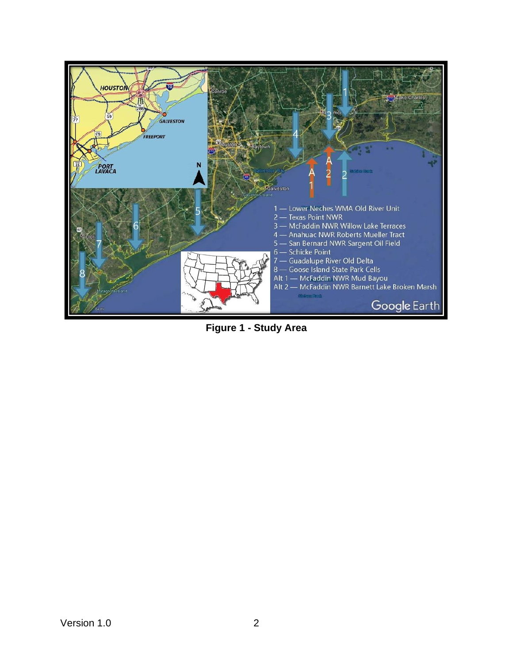

**Figure 1 - Study Area**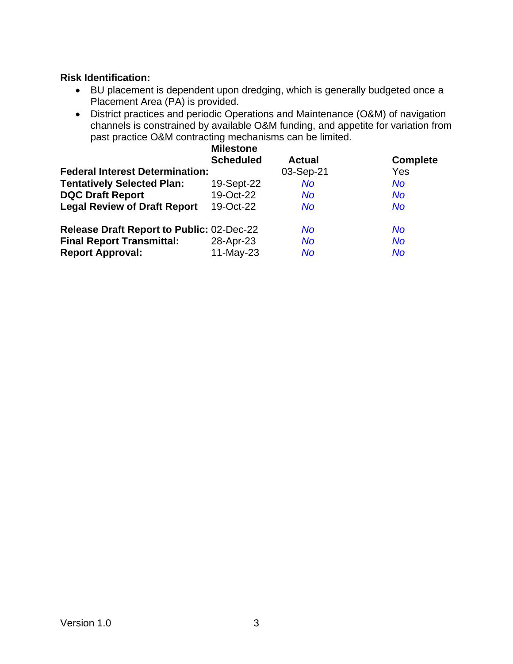#### **Risk Identification:**

- BU placement is dependent upon dredging, which is generally budgeted once a Placement Area (PA) is provided.
- District practices and periodic Operations and Maintenance (O&M) of navigation channels is constrained by available O&M funding, and appetite for variation from past practice O&M contracting mechanisms can be limited.

|                                                  | <b>Milestone</b> |               |                 |
|--------------------------------------------------|------------------|---------------|-----------------|
|                                                  | <b>Scheduled</b> | <b>Actual</b> | <b>Complete</b> |
| <b>Federal Interest Determination:</b>           |                  | 03-Sep-21     | Yes             |
| <b>Tentatively Selected Plan:</b>                | 19-Sept-22       | <b>No</b>     | <b>No</b>       |
| <b>DQC Draft Report</b>                          | 19-Oct-22        | <b>No</b>     | <b>No</b>       |
| <b>Legal Review of Draft Report</b>              | 19-Oct-22        | <b>No</b>     | <b>No</b>       |
| <b>Release Draft Report to Public: 02-Dec-22</b> |                  | <b>No</b>     | <b>No</b>       |
| <b>Final Report Transmittal:</b>                 | 28-Apr-23        | <b>No</b>     | <b>No</b>       |
| <b>Report Approval:</b>                          | 11-May-23        | <b>No</b>     | <b>No</b>       |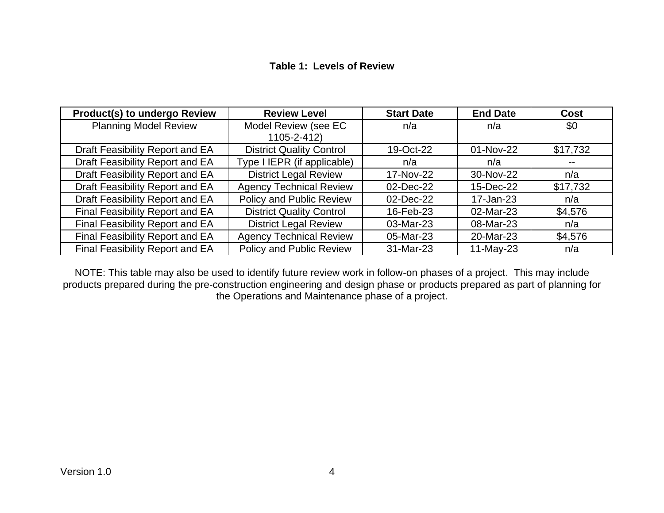#### **Table 1: Levels of Review**

| <b>Product(s) to undergo Review</b>    | <b>Review Level</b>             | <b>Start Date</b> | <b>End Date</b> | <b>Cost</b> |
|----------------------------------------|---------------------------------|-------------------|-----------------|-------------|
| <b>Planning Model Review</b>           | Model Review (see EC            | n/a               | n/a             | \$0         |
|                                        | 1105-2-412)                     |                   |                 |             |
| Draft Feasibility Report and EA        | <b>District Quality Control</b> | 19-Oct-22         | 01-Nov-22       | \$17,732    |
| Draft Feasibility Report and EA        | Type I IEPR (if applicable)     | n/a               | n/a             |             |
| Draft Feasibility Report and EA        | <b>District Legal Review</b>    | 17-Nov-22         | 30-Nov-22       | n/a         |
| Draft Feasibility Report and EA        | <b>Agency Technical Review</b>  | 02-Dec-22         | 15-Dec-22       | \$17,732    |
| Draft Feasibility Report and EA        | Policy and Public Review        | 02-Dec-22         | 17-Jan-23       | n/a         |
| Final Feasibility Report and EA        | <b>District Quality Control</b> | 16-Feb-23         | 02-Mar-23       | \$4,576     |
| Final Feasibility Report and EA        | <b>District Legal Review</b>    | 03-Mar-23         | 08-Mar-23       | n/a         |
| Final Feasibility Report and EA        | <b>Agency Technical Review</b>  | 05-Mar-23         | 20-Mar-23       | \$4,576     |
| <b>Final Feasibility Report and EA</b> | Policy and Public Review        | 31-Mar-23         | 11-May-23       | n/a         |

NOTE: This table may also be used to identify future review work in follow-on phases of a project. This may include products prepared during the pre-construction engineering and design phase or products prepared as part of planning for the Operations and Maintenance phase of a project.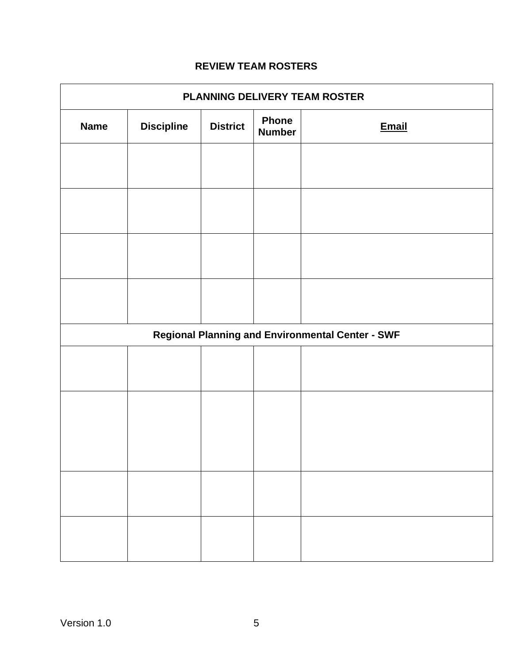## **REVIEW TEAM ROSTERS**

|             | PLANNING DELIVERY TEAM ROSTER |                 |                               |                                                         |
|-------------|-------------------------------|-----------------|-------------------------------|---------------------------------------------------------|
| <b>Name</b> | <b>Discipline</b>             | <b>District</b> | <b>Phone</b><br><b>Number</b> | <b>Email</b>                                            |
|             |                               |                 |                               |                                                         |
|             |                               |                 |                               |                                                         |
|             |                               |                 |                               |                                                         |
|             |                               |                 |                               |                                                         |
|             |                               |                 |                               |                                                         |
|             |                               |                 |                               | <b>Regional Planning and Environmental Center - SWF</b> |
|             |                               |                 |                               |                                                         |
|             |                               |                 |                               |                                                         |
|             |                               |                 |                               |                                                         |
|             |                               |                 |                               |                                                         |
|             |                               |                 |                               |                                                         |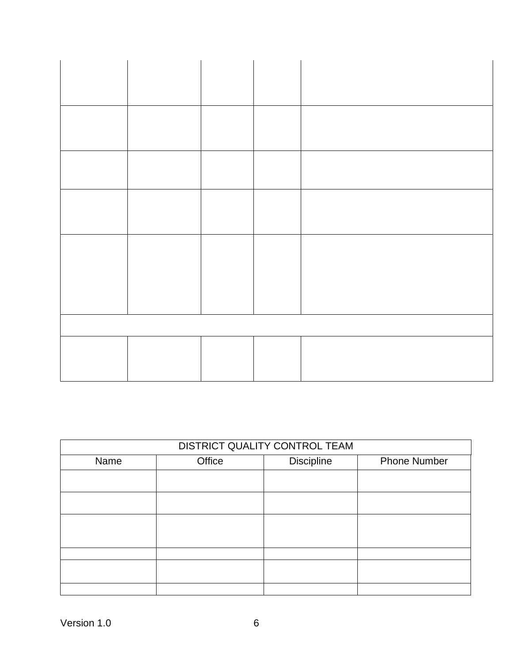| DISTRICT QUALITY CONTROL TEAM |        |            |                     |
|-------------------------------|--------|------------|---------------------|
| Name                          | Office | Discipline | <b>Phone Number</b> |
|                               |        |            |                     |
|                               |        |            |                     |
|                               |        |            |                     |
|                               |        |            |                     |
|                               |        |            |                     |
|                               |        |            |                     |
|                               |        |            |                     |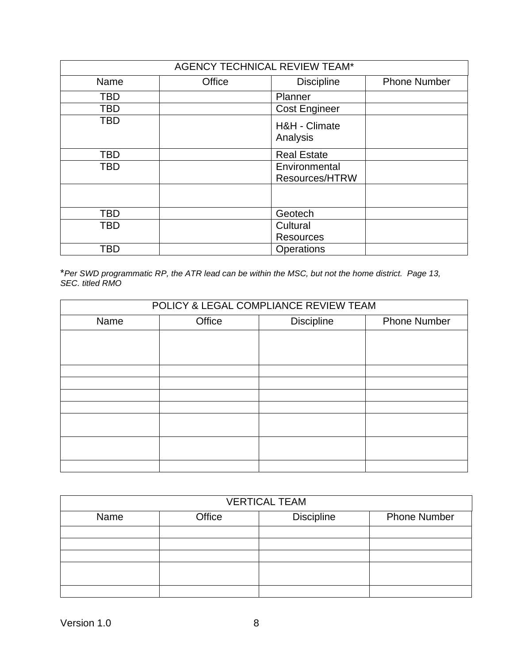| <b>AGENCY TECHNICAL REVIEW TEAM*</b> |        |                                 |                     |
|--------------------------------------|--------|---------------------------------|---------------------|
| Name                                 | Office | <b>Discipline</b>               | <b>Phone Number</b> |
| <b>TBD</b>                           |        | Planner                         |                     |
| <b>TBD</b>                           |        | <b>Cost Engineer</b>            |                     |
| TBD                                  |        | H&H - Climate<br>Analysis       |                     |
| TBD                                  |        | <b>Real Estate</b>              |                     |
| TBD                                  |        | Environmental<br>Resources/HTRW |                     |
|                                      |        |                                 |                     |
| <b>TBD</b>                           |        | Geotech                         |                     |
| TBD                                  |        | Cultural                        |                     |
|                                      |        | <b>Resources</b>                |                     |
| TBD                                  |        | <b>Operations</b>               |                     |

\**Per SWD programmatic RP, the ATR lead can be within the MSC, but not the home district. Page 13, SEC. titled RMO*

| POLICY & LEGAL COMPLIANCE REVIEW TEAM |        |            |                     |
|---------------------------------------|--------|------------|---------------------|
| Name                                  | Office | Discipline | <b>Phone Number</b> |
|                                       |        |            |                     |
|                                       |        |            |                     |
|                                       |        |            |                     |
|                                       |        |            |                     |
|                                       |        |            |                     |
|                                       |        |            |                     |
|                                       |        |            |                     |
|                                       |        |            |                     |
|                                       |        |            |                     |
|                                       |        |            |                     |

| <b>VERTICAL TEAM</b> |        |                   |                     |
|----------------------|--------|-------------------|---------------------|
| Name                 | Office | <b>Discipline</b> | <b>Phone Number</b> |
|                      |        |                   |                     |
|                      |        |                   |                     |
|                      |        |                   |                     |
|                      |        |                   |                     |
|                      |        |                   |                     |
|                      |        |                   |                     |